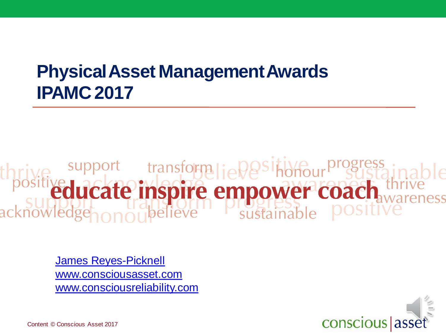#### **Physical Asset Management Awards IPAMC 2017**

# support transformalie pesitive progress in

[James Reyes-Picknell](http://www.consciousasset.com/) [www.consciousasset.com](http://www.consciousasset.com/) [www.consciousreliability.com](http://www.consciousreliability.com/)

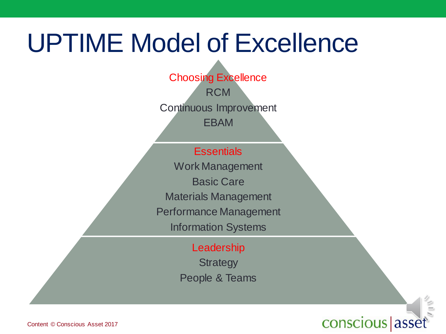## UPTIME Model of Excellence

Choosing Excellence RCM Continuous Improvement EBAM

**Essentials** 

Work Management

Basic Care

Materials Management

Performance Management

Information Systems

Leadership

**Strategy** People & Teams

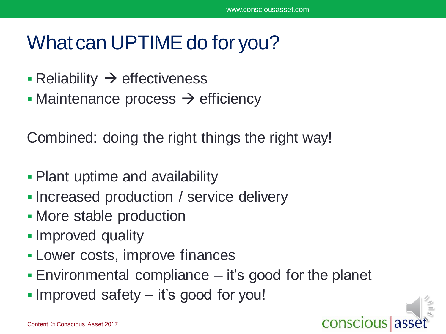#### What can UPTIME do for you?

- **Reliability**  $\rightarrow$  **effectiveness**
- Maintenance process  $\rightarrow$  efficiency

Combined: doing the right things the right way!

- Plant uptime and availability
- **Increased production / service delivery**
- More stable production
- **Improved quality**
- Lower costs, improve finances
- Environmental compliance it's good for the planet
- Improved safety it's good for you!

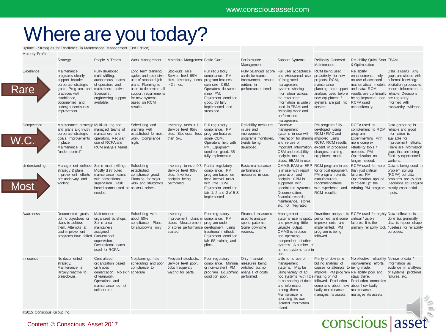### Where are you today?

Uptime - Strategies for Excellence in Maintenance Management (3rd Edition) Maturity Profile

|      | iviului ily i i omo        |                                                                                                                                                                                                                |                                                                                                                                                         |                                                                                                                                                                                         |                                                                                                                                             |                                                                                                                                                                                     |                                                                                                                                         |                                                                                                                                                                                                                                                            |                                                                                                                                                                                                                                                           |                                                                                                                                                                                                                                                  |                                                                                                                                                                   |
|------|----------------------------|----------------------------------------------------------------------------------------------------------------------------------------------------------------------------------------------------------------|---------------------------------------------------------------------------------------------------------------------------------------------------------|-----------------------------------------------------------------------------------------------------------------------------------------------------------------------------------------|---------------------------------------------------------------------------------------------------------------------------------------------|-------------------------------------------------------------------------------------------------------------------------------------------------------------------------------------|-----------------------------------------------------------------------------------------------------------------------------------------|------------------------------------------------------------------------------------------------------------------------------------------------------------------------------------------------------------------------------------------------------------|-----------------------------------------------------------------------------------------------------------------------------------------------------------------------------------------------------------------------------------------------------------|--------------------------------------------------------------------------------------------------------------------------------------------------------------------------------------------------------------------------------------------------|-------------------------------------------------------------------------------------------------------------------------------------------------------------------|
|      |                            | Strategy                                                                                                                                                                                                       | People & Teams                                                                                                                                          | Work Management                                                                                                                                                                         | Materials Mangement Basic Care                                                                                                              |                                                                                                                                                                                     | Performance<br>Management                                                                                                               | Support Systems                                                                                                                                                                                                                                            | <b>Reliabilty Centered</b><br>Maintenance                                                                                                                                                                                                                 | <b>Reliability Quick Start EBAM</b><br>& Optimization                                                                                                                                                                                            |                                                                                                                                                                   |
|      | Excellence<br>Rare         | Maintenance<br>programs clearly<br>support broader<br>corporate strategic<br>goals. Programs and maintainers active.<br>practices well<br>established.<br>documented and<br>undergo continuous<br>improvement. | Fully developed<br>multi-skilling,<br>autonomous teams<br>of operators and<br>Speicialist<br>engineering support<br>available.                          | Long term planning<br>cycles and extensive<br>use of standard job<br>plans. Planning is<br>used to determine all<br>support requirements<br>for new systems<br>based on RCM<br>results. | Stockouts rare.<br>Service level 98%<br>plus. Inventory turns<br>> 2 times.                                                                 | Full regulatory<br>compliance. PM<br>program features<br>extensive CBM.<br>Operators do some<br>minor PM.<br>Equipment condition<br>good. 5S fully<br>implemented and<br>sustained. | Fully balanced score Full user acceptance<br>cards for teams.<br>Improvement results of integrated<br>evident in<br>performance trends. | and widespread use<br>management<br>systems sharing<br>information across<br>the enterprise.<br>Information is widely<br>used in EBAM and<br>reliability work and<br>performance<br>management.                                                            | RCM being used<br>proactively for new<br>projects. RCM,<br>maintenance<br>planning and support<br>analysis used before<br>new equpiment /<br>systems are put into<br>service.                                                                             | Reliability<br>enhancements rely<br>on use of advanced<br>mathematical models elicitation process to<br>and data. RCM<br>results are continually reliable. Decisions<br>being improved upon, are regularly<br><b>RCFA</b> used<br>occassionally. | Data is useful. Any<br>gaps are closed with<br>a formal knowledge<br>ensure information is<br>informed with<br>trustworthy evidence.                              |
|      | Competence                 | Maintenance strategy Multi-skilling and<br>and plans align with<br>corporate strategic<br>goals. Improvements<br>in place.<br>Maintenance is<br>"under control".                                               | managed teams of<br>maintainers and<br>operators. Reqular<br>use of RCFA and<br>RCM analysis teams.                                                     | Scheduling and<br>planning well<br>established for most<br>work Compliance<br>high.                                                                                                     | Inventory turns $> 1$ .<br>Service level 95%<br>plus. Stockouts less<br>than 5%.                                                            | Full regulatory<br>compliance. PM<br>program features<br>some CBM.<br>Operators help with<br>PM. Equipment<br>condition good. 5S<br>fully implemented                               | Reliability measures<br>in use and<br>improvement<br>programs monitored,<br>trends being<br>developed.                                  | Extensive<br>management<br>systems in use with<br>integration for sharing improved using<br>and re-use of<br>important information. evident in procedure<br>CBM and reliability<br>analysis tools in<br>place. EBAM in use.                                | PM program fully<br>developed using<br>RCM / PMO and<br>RCFA. RCM results<br>changes, training,<br>equpiment mods.                                                                                                                                        | RCFA used as<br>complement to RCM reliable and good<br>program.<br>Experimenting with<br>more complex<br>reliability tools /<br>methods. PM<br>Optimization no<br>longer needed.                                                                 | Data gathering is<br>information is<br>available for<br>improvement efforts.<br>There are information<br>gaps that are being<br>filled by experienced<br>workers. |
| Most | Understanding              | Management defined Some multi-skilling.<br>strategy & plans.<br>Improvement efforts<br>are underway and<br>working.                                                                                            | Mostly distributed<br>maintenance teams<br>with conventional<br>supervision. Task<br>based teams used as as work arises.<br>needed.                     | Scheduling<br>established,<br>compliance good.<br>Planning for major<br>work and shutdowns                                                                                              | Inventory turns > 0.7. Partial regulatory<br>Service level 90%<br>plus. Inventory<br>analysis being<br>performed.                           | compliance. PM<br>program based on<br>fixed interval tasks<br>with little CBM.<br>Equipment condition<br>fair. 1, 2 and 3 of 5 S<br>implemented                                     | Basic maintenance<br>performance<br>measures in use.                                                                                    | is in use with report<br>generation and<br>analysis. CBM is<br>supported with<br>specialized systems.<br>Documentation,<br>financial records,<br>maintenance, stores,<br>etc. not integrated.                                                              | CMMS, EAM or ERP RCM program in use RCFA used for more<br>for critical equipment.<br>PM program blends<br>manufacturers<br>recommendations<br>with experience and<br>RCM resullts,                                                                        | than just critical<br>failures. PM<br>Optimization applied<br>to "clean up" the<br>existing PM program. mostly experiential                                                                                                                      | Data is being used in<br>problem solivng<br>(RCFA) but data<br>problems are evident.<br>Decisions still require<br>inputs.                                        |
|      | Awareness                  | Documented goals<br>but no objectives or<br>plans to achieve<br>them. Attempts at<br>past improvement<br>programs have failed. Conventional                                                                    | Maintenance<br>organized by shops.<br>Some area<br>maintainers<br>assigned.<br>supervision.<br>Occassional teams<br>used for RCFA.                      | Scheduling with<br>about 50%<br>compliance. Plans<br>for shutdowns only                                                                                                                 | Inventory<br>improvement plans in compliance. PM<br>place. Measurement program under<br>of stores performance development using<br>started. | Poor regulatory<br>traditional methods.<br>Equipment condition<br>fair. 5S training and<br>pilots.                                                                                  | Financial measures<br>used to analyze<br>spend patterns.<br>Some downtime<br>records.                                                   | Management<br>systems use is spotty performed and some<br>and providing little<br>valuable output.<br>CMMS is in place<br>and operating<br>independent of other<br>systems. A number of<br>ad hoc systems are in<br>use.                                   | improvements are<br>implemented. PM<br>program is being<br>followed.                                                                                                                                                                                      | Downtime analysis is RCFA used for highly Data collection is<br>critical / visible<br>failures. It is the                                                                                                                                        | done but generally<br>data is in poor shape<br>primary reliabilty tool. / useless for reliability<br>purposes.                                                    |
|      | Innocence                  | No documented<br>strategy.<br>Maintenance is<br>largely reactive to<br>breakdowns.                                                                                                                             | Centralized<br>organization based<br>on trades<br>demarcation. No sign schedule<br>of teamwork.<br>Operations and<br>maintenance do not<br>collaborate. | No planning, little<br>scheduling and poor<br>compliance to                                                                                                                             | Frequent stockouts.<br>Service level poor.<br>Jobs frequently<br>waiting for parts.                                                         | Poor regulatory<br>compliance. Minimal measures being<br>or non-existent PM<br>program. Equipment<br>condition poor.                                                                | Only financial<br>watched but no<br>analysis of costs<br>performed.                                                                     | Little to no use of<br>management<br>systems. May be<br>using variety of ad<br>hoc systems with little missing or not<br>to no sharing of data<br>and information<br>among them.<br>Maintenance is<br>operating its own<br>isolated information<br>island. | Plenty of downtime<br>but no analysis of<br>causes or attempts to being made.<br>improve. PM program Reliability poor and<br>followed. Production Production complains<br>complains about how about how badly<br>badly maintenance<br>manages its assets. | No effective reliability No use of data /<br>improvement efforts information as<br>stays there.<br>maintenance<br>manages its assets.                                                                                                            | evidence in anallysis<br>of systems, problems,<br>failures, etc.                                                                                                  |
|      | ©2015 Conscious Group Inc. |                                                                                                                                                                                                                |                                                                                                                                                         |                                                                                                                                                                                         |                                                                                                                                             |                                                                                                                                                                                     |                                                                                                                                         |                                                                                                                                                                                                                                                            |                                                                                                                                                                                                                                                           |                                                                                                                                                                                                                                                  |                                                                                                                                                                   |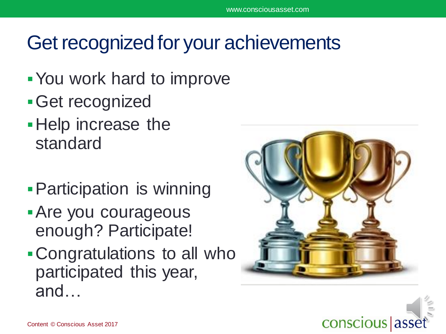#### Get recognized for your achievements

- You work hard to improve
- Get recognized
- **-Help increase the** standard
- **Participation is winning**
- **Are you courageous** enough? Participate!
- Congratulations to all who participated this year, and…